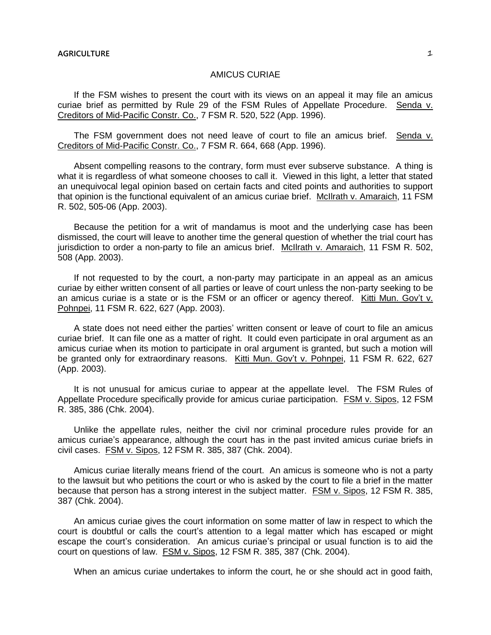## AMICUS CURIAE

If the FSM wishes to present the court with its views on an appeal it may file an amicus curiae brief as permitted by Rule 29 of the FSM Rules of Appellate Procedure. Senda v. Creditors of Mid-Pacific Constr. Co., 7 FSM R. 520, 522 (App. 1996).

The FSM government does not need leave of court to file an amicus brief. Senda v. Creditors of Mid-Pacific Constr. Co., 7 FSM R. 664, 668 (App. 1996).

Absent compelling reasons to the contrary, form must ever subserve substance. A thing is what it is regardless of what someone chooses to call it. Viewed in this light, a letter that stated an unequivocal legal opinion based on certain facts and cited points and authorities to support that opinion is the functional equivalent of an amicus curiae brief. McIlrath v. Amaraich, 11 FSM R. 502, 505-06 (App. 2003).

Because the petition for a writ of mandamus is moot and the underlying case has been dismissed, the court will leave to another time the general question of whether the trial court has jurisdiction to order a non-party to file an amicus brief. McIlrath v. Amaraich, 11 FSM R. 502, 508 (App. 2003).

If not requested to by the court, a non-party may participate in an appeal as an amicus curiae by either written consent of all parties or leave of court unless the non-party seeking to be an amicus curiae is a state or is the FSM or an officer or agency thereof. Kitti Mun. Gov't v. Pohnpei, 11 FSM R. 622, 627 (App. 2003).

A state does not need either the parties' written consent or leave of court to file an amicus curiae brief. It can file one as a matter of right. It could even participate in oral argument as an amicus curiae when its motion to participate in oral argument is granted, but such a motion will be granted only for extraordinary reasons. Kitti Mun. Gov't v. Pohnpei, 11 FSM R. 622, 627 (App. 2003).

It is not unusual for amicus curiae to appear at the appellate level. The FSM Rules of Appellate Procedure specifically provide for amicus curiae participation. FSM v. Sipos, 12 FSM R. 385, 386 (Chk. 2004).

Unlike the appellate rules, neither the civil nor criminal procedure rules provide for an amicus curiae's appearance, although the court has in the past invited amicus curiae briefs in civil cases. FSM v. Sipos, 12 FSM R. 385, 387 (Chk. 2004).

Amicus curiae literally means friend of the court. An amicus is someone who is not a party to the lawsuit but who petitions the court or who is asked by the court to file a brief in the matter because that person has a strong interest in the subject matter. FSM v. Sipos, 12 FSM R. 385, 387 (Chk. 2004).

An amicus curiae gives the court information on some matter of law in respect to which the court is doubtful or calls the court's attention to a legal matter which has escaped or might escape the court's consideration. An amicus curiae's principal or usual function is to aid the court on questions of law. FSM v. Sipos, 12 FSM R. 385, 387 (Chk. 2004).

When an amicus curiae undertakes to inform the court, he or she should act in good faith,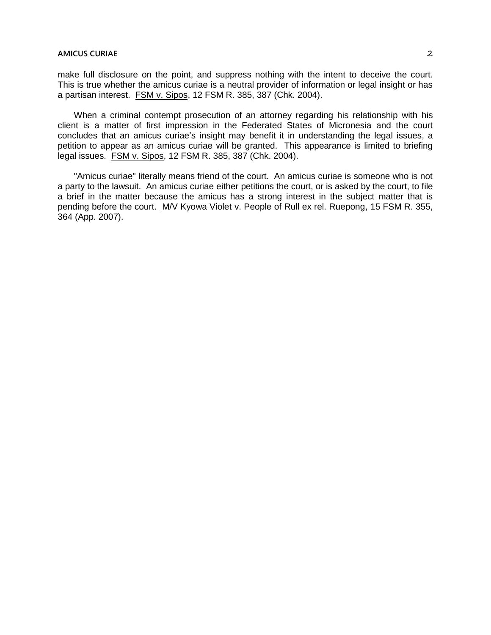make full disclosure on the point, and suppress nothing with the intent to deceive the court. This is true whether the amicus curiae is a neutral provider of information or legal insight or has a partisan interest. FSM v. Sipos, 12 FSM R. 385, 387 (Chk. 2004).

When a criminal contempt prosecution of an attorney regarding his relationship with his client is a matter of first impression in the Federated States of Micronesia and the court concludes that an amicus curiae's insight may benefit it in understanding the legal issues, a petition to appear as an amicus curiae will be granted. This appearance is limited to briefing legal issues. FSM v. Sipos, 12 FSM R. 385, 387 (Chk. 2004).

"Amicus curiae" literally means friend of the court. An amicus curiae is someone who is not a party to the lawsuit. An amicus curiae either petitions the court, or is asked by the court, to file a brief in the matter because the amicus has a strong interest in the subject matter that is pending before the court. M/V Kyowa Violet v. People of Rull ex rel. Ruepong, 15 FSM R. 355, 364 (App. 2007).